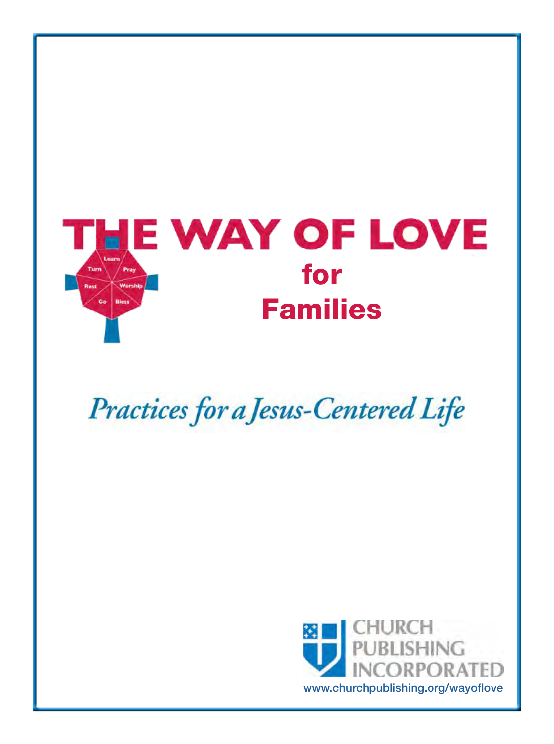

# Practices for a Jesus-Centered Life

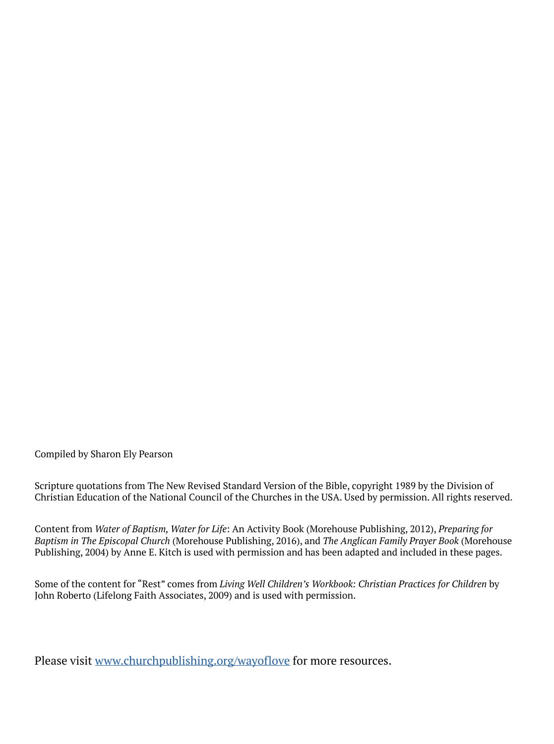Compiled by Sharon Ely Pearson

Scripture quotations from The New Revised Standard Version of the Bible, copyright 1989 by the Division of Christian Education of the National Council of the Churches in the USA. Used by permission. All rights reserved.

Content from *Water of Baptism, Water for Life*: An Activity Book (Morehouse Publishing, 2012), *Preparing for Baptism in The Episcopal Church* (Morehouse Publishing, 2016), and *The Anglican Family Prayer Book* (Morehouse Publishing, 2004) by Anne E. Kitch is used with permission and has been adapted and included in these pages.

Some of the content for "Rest" comes from *Living Well Children's Workbook: Christian Practices for Children* by John Roberto (Lifelong Faith Associates, 2009) and is used with permission.

[Please visit www.churchpublishing.org/wayoflove for more resources.](www.churchpublishing.org/wayoflove)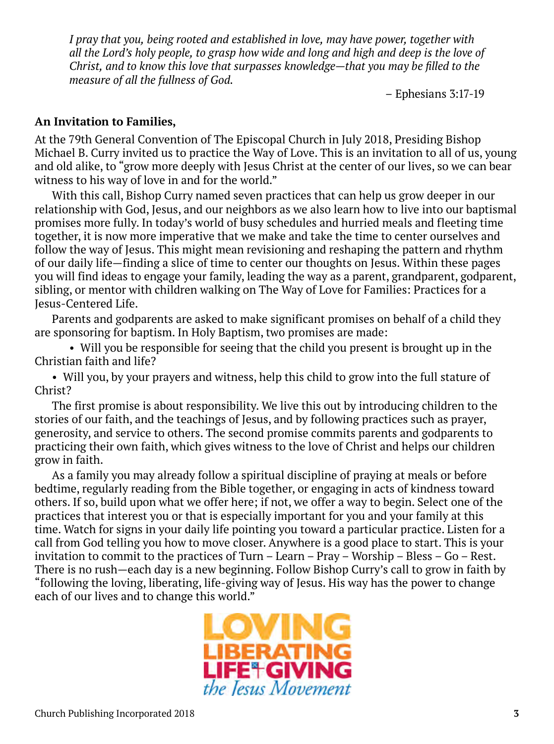*I pray that you, being rooted and established in love, may have power, together with all the Lord's holy people, to grasp how wide and long and high and deep is the love of Christ, and to know this love that surpasses knowledge—that you may be filled to the measure of all the fullness of God.* 

– Ephesians 3:17-19

#### **An Invitation to Families,**

At the 79th General Convention of The Episcopal Church in July 2018, Presiding Bishop Michael B. Curry invited us to practice the Way of Love. This is an invitation to all of us, young and old alike, to "grow more deeply with Jesus Christ at the center of our lives, so we can bear witness to his way of love in and for the world."

With this call, Bishop Curry named seven practices that can help us grow deeper in our relationship with God, Jesus, and our neighbors as we also learn how to live into our baptismal promises more fully. In today's world of busy schedules and hurried meals and fleeting time together, it is now more imperative that we make and take the time to center ourselves and follow the way of Jesus. This might mean revisioning and reshaping the pattern and rhythm of our daily life—finding a slice of time to center our thoughts on Jesus. Within these pages you will find ideas to engage your family, leading the way as a parent, grandparent, godparent, sibling, or mentor with children walking on The Way of Love for Families: Practices for a Jesus-Centered Life.

Parents and godparents are asked to make significant promises on behalf of a child they are sponsoring for baptism. In Holy Baptism, two promises are made:

• Will you be responsible for seeing that the child you present is brought up in the Christian faith and life?

• Will you, by your prayers and witness, help this child to grow into the full stature of Christ?

The first promise is about responsibility. We live this out by introducing children to the stories of our faith, and the teachings of Jesus, and by following practices such as prayer, generosity, and service to others. The second promise commits parents and godparents to practicing their own faith, which gives witness to the love of Christ and helps our children grow in faith.

As a family you may already follow a spiritual discipline of praying at meals or before bedtime, regularly reading from the Bible together, or engaging in acts of kindness toward others. If so, build upon what we offer here; if not, we offer a way to begin. Select one of the practices that interest you or that is especially important for you and your family at this time. Watch for signs in your daily life pointing you toward a particular practice. Listen for a call from God telling you how to move closer. Anywhere is a good place to start. This is your invitation to commit to the practices of Turn – Learn – Pray – Worship – Bless – Go – Rest. There is no rush—each day is a new beginning. Follow Bishop Curry's call to grow in faith by "following the loving, liberating, life-giving way of Jesus. His way has the power to change each of our lives and to change this world."

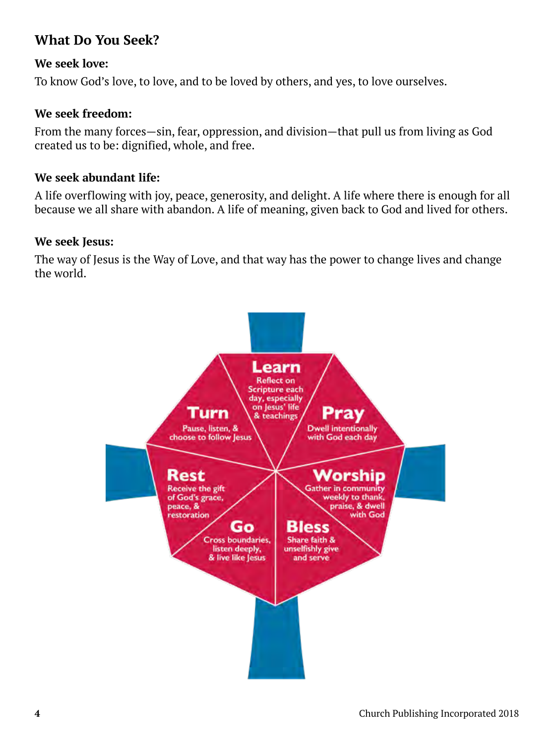# **What Do You Seek?**

### **We seek love:**

To know God's love, to love, and to be loved by others, and yes, to love ourselves.

### **We seek freedom:**

From the many forces—sin, fear, oppression, and division—that pull us from living as God created us to be: dignified, whole, and free.

### **We seek abundant life:**

A life overflowing with joy, peace, generosity, and delight. A life where there is enough for all because we all share with abandon. A life of meaning, given back to God and lived for others.

### **We seek Jesus:**

The way of Jesus is the Way of Love, and that way has the power to change lives and change the world.

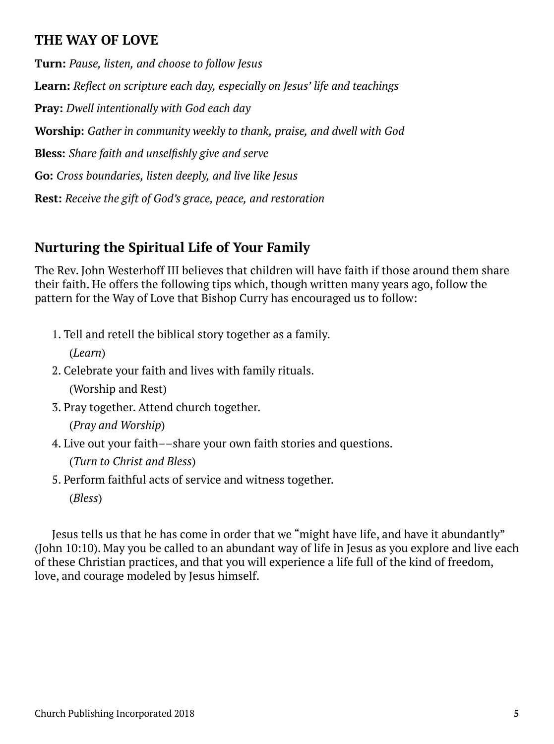# **THE WAY OF LOVE**

**Turn:** *Pause, listen, and choose to follow Jesus* **Learn:** *Reflect on scripture each day, especially on Jesus' life and teachings* **Pray:** *Dwell intentionally with God each day* **Worship:** *Gather in community weekly to thank, praise, and dwell with God* **Bless:** *Share faith and unselfishly give and serve* **Go:** *Cross boundaries, listen deeply, and live like Jesus* **Rest:** *Receive the gift of God's grace, peace, and restoration*

# **Nurturing the Spiritual Life of Your Family**

The Rev. John Westerhoff III believes that children will have faith if those around them share their faith. He offers the following tips which, though written many years ago, follow the pattern for the Way of Love that Bishop Curry has encouraged us to follow:

- 1. Tell and retell the biblical story together as a family. (*Learn*)
- 2. Celebrate your faith and lives with family rituals. (Worship and Rest)
- 3. Pray together. Attend church together.

(*Pray and Worship*)

4. Live out your faith––share your own faith stories and questions.

(*Turn to Christ and Bless*)

5. Perform faithful acts of service and witness together. (*Bless*)

Jesus tells us that he has come in order that we "might have life, and have it abundantly" (John 10:10). May you be called to an abundant way of life in Jesus as you explore and live each of these Christian practices, and that you will experience a life full of the kind of freedom, love, and courage modeled by Jesus himself.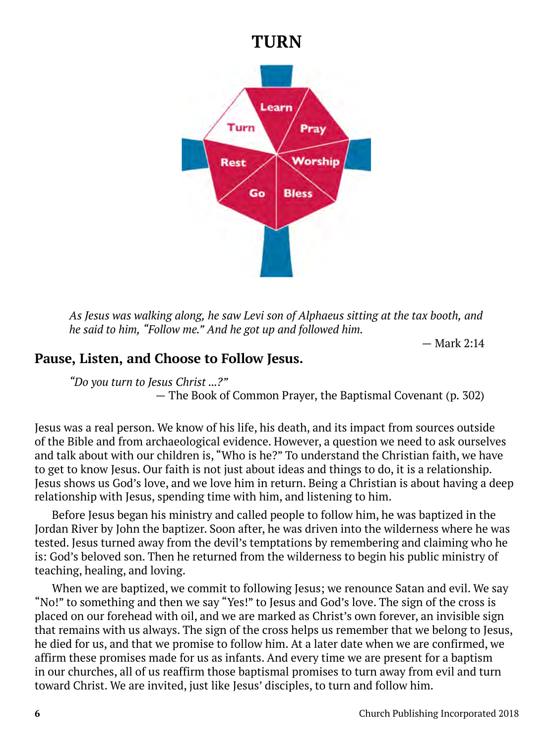# **TURN**



*As Jesus was walking along, he saw Levi son of Alphaeus sitting at the tax booth, and he said to him, "Follow me." And he got up and followed him.* 

— Mark 2:14

# **Pause, Listen, and Choose to Follow Jesus.**

*"Do you turn to Jesus Christ ...?"* 

— The Book of Common Prayer, the Baptismal Covenant (p. 302)

Jesus was a real person. We know of his life, his death, and its impact from sources outside of the Bible and from archaeological evidence. However, a question we need to ask ourselves and talk about with our children is, "Who is he?" To understand the Christian faith, we have to get to know Jesus. Our faith is not just about ideas and things to do, it is a relationship. Jesus shows us God's love, and we love him in return. Being a Christian is about having a deep relationship with Jesus, spending time with him, and listening to him.

Before Jesus began his ministry and called people to follow him, he was baptized in the Jordan River by John the baptizer. Soon after, he was driven into the wilderness where he was tested. Jesus turned away from the devil's temptations by remembering and claiming who he is: God's beloved son. Then he returned from the wilderness to begin his public ministry of teaching, healing, and loving.

When we are baptized, we commit to following Jesus; we renounce Satan and evil. We say "No!" to something and then we say "Yes!" to Jesus and God's love. The sign of the cross is placed on our forehead with oil, and we are marked as Christ's own forever, an invisible sign that remains with us always. The sign of the cross helps us remember that we belong to Jesus, he died for us, and that we promise to follow him. At a later date when we are confirmed, we affirm these promises made for us as infants. And every time we are present for a baptism in our churches, all of us reaffirm those baptismal promises to turn away from evil and turn toward Christ. We are invited, just like Jesus' disciples, to turn and follow him.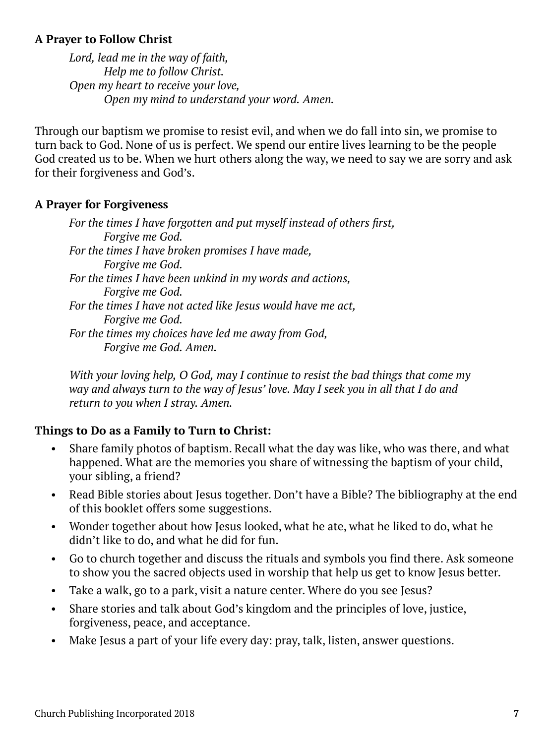### **A Prayer to Follow Christ**

*Lord, lead me in the way of faith, Help me to follow Christ. Open my heart to receive your love, Open my mind to understand your word. Amen.*

Through our baptism we promise to resist evil, and when we do fall into sin, we promise to turn back to God. None of us is perfect. We spend our entire lives learning to be the people God created us to be. When we hurt others along the way, we need to say we are sorry and ask for their forgiveness and God's.

### **A Prayer for Forgiveness**

*For the times I have forgotten and put myself instead of others first, Forgive me God. For the times I have broken promises I have made, Forgive me God. For the times I have been unkind in my words and actions, Forgive me God. For the times I have not acted like Jesus would have me act, Forgive me God. For the times my choices have led me away from God, Forgive me God. Amen.*

*With your loving help, O God, may I continue to resist the bad things that come my way and always turn to the way of Jesus' love. May I seek you in all that I do and return to you when I stray. Amen.*

# **Things to Do as a Family to Turn to Christ:**

- Share family photos of baptism. Recall what the day was like, who was there, and what happened. What are the memories you share of witnessing the baptism of your child, your sibling, a friend?
- Read Bible stories about Jesus together. Don't have a Bible? The bibliography at the end of this booklet offers some suggestions.
- Wonder together about how Jesus looked, what he ate, what he liked to do, what he didn't like to do, and what he did for fun.
- Go to church together and discuss the rituals and symbols you find there. Ask someone to show you the sacred objects used in worship that help us get to know Jesus better.
- Take a walk, go to a park, visit a nature center. Where do you see Jesus?
- Share stories and talk about God's kingdom and the principles of love, justice, forgiveness, peace, and acceptance.
- Make Jesus a part of your life every day: pray, talk, listen, answer questions.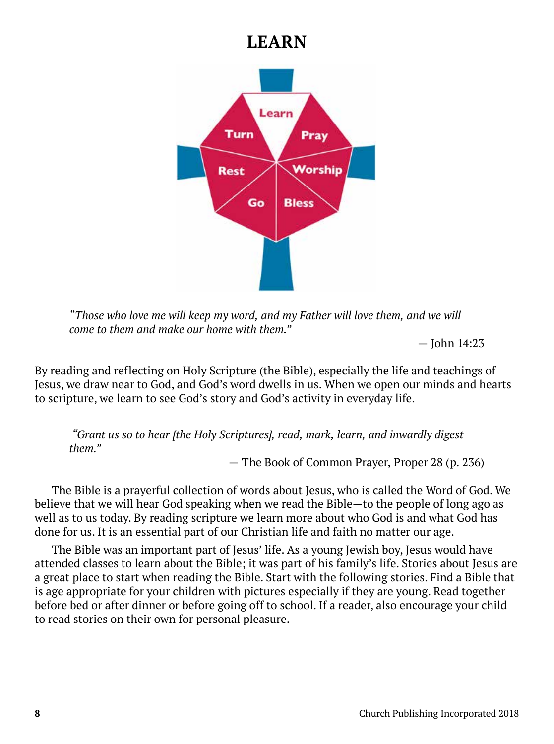# **LEARN**



*"Those who love me will keep my word, and my Father will love them, and we will come to them and make our home with them."* 

— John 14:23

By reading and reflecting on Holy Scripture (the Bible), especially the life and teachings of Jesus, we draw near to God, and God's word dwells in us. When we open our minds and hearts to scripture, we learn to see God's story and God's activity in everyday life.

 *"Grant us so to hear [the Holy Scriptures], read, mark, learn, and inwardly digest them."*

— The Book of Common Prayer, Proper 28 (p. 236)

The Bible is a prayerful collection of words about Jesus, who is called the Word of God. We believe that we will hear God speaking when we read the Bible—to the people of long ago as well as to us today. By reading scripture we learn more about who God is and what God has done for us. It is an essential part of our Christian life and faith no matter our age.

The Bible was an important part of Jesus' life. As a young Jewish boy, Jesus would have attended classes to learn about the Bible; it was part of his family's life. Stories about Jesus are a great place to start when reading the Bible. Start with the following stories. Find a Bible that is age appropriate for your children with pictures especially if they are young. Read together before bed or after dinner or before going off to school. If a reader, also encourage your child to read stories on their own for personal pleasure.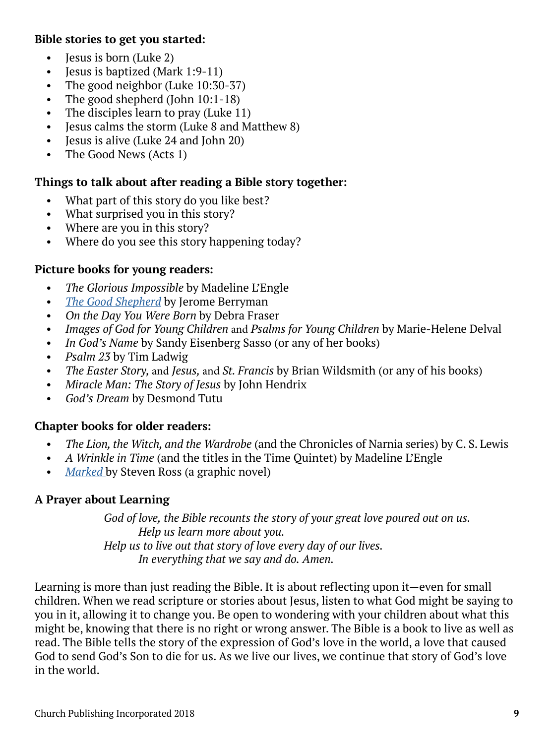### **Bible stories to get you started:**

- **Jesus is born (Luke 2)**
- Jesus is baptized (Mark 1:9-11)
- The good neighbor (Luke 10:30-37)
- The good shepherd (John 10:1-18)
- The disciples learn to pray (Luke 11)
- Jesus calms the storm (Luke 8 and Matthew 8)
- Jesus is alive (Luke 24 and John 20)
- The Good News (Acts 1)

### **Things to talk about after reading a Bible story together:**

- What part of this story do you like best?
- What surprised you in this story?
- Where are you in this story?
- Where do you see this story happening today?

### **Picture books for young readers:**

- *The Glorious Impossible* by Madeline L'Engle
- *The Good Shepherd* [by Jerome Berryman](https://www.churchpublishing.org/parableofthegoodshepherd)
- *On the Day You Were Born* by Debra Fraser
- *Images of God for Young Children* and *Psalms for Young Children* by Marie-Helene Delval
- *In God's Name* by Sandy Eisenberg Sasso (or any of her books)
- *Psalm 23* by Tim Ladwig
- *The Easter Story,* and *Jesus,* and *St. Francis* by Brian Wildsmith (or any of his books)
- *Miracle Man: The Story of Jesus* by John Hendrix
- *God's Dream* by Desmond Tutu

### **Chapter books for older readers:**

- *The Lion, the Witch, and the Wardrobe* (and the Chronicles of Narnia series) by C. S. Lewis
- *A Wrinkle in Time* (and the titles in the Time Quintet) by Madeline L'Engle
- *Marked* [by Steven Ross \(a graphic novel\)](https://www.churchpublishing.org/products/marked2)

#### **A Prayer about Learning**

*God of love, the Bible recounts the story of your great love poured out on us. Help us learn more about you. Help us to live out that story of love every day of our lives. In everything that we say and do. Amen.*

Learning is more than just reading the Bible. It is about reflecting upon it—even for small children. When we read scripture or stories about Jesus, listen to what God might be saying to you in it, allowing it to change you. Be open to wondering with your children about what this might be, knowing that there is no right or wrong answer. The Bible is a book to live as well as read. The Bible tells the story of the expression of God's love in the world, a love that caused God to send God's Son to die for us. As we live our lives, we continue that story of God's love in the world.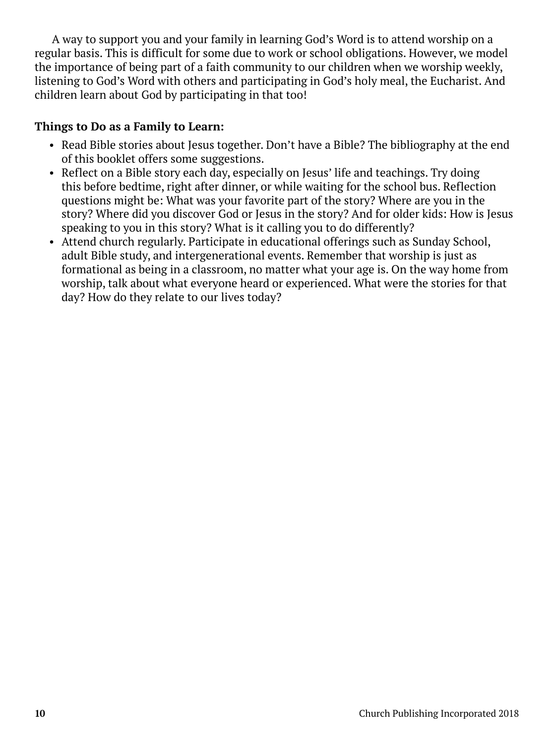A way to support you and your family in learning God's Word is to attend worship on a regular basis. This is difficult for some due to work or school obligations. However, we model the importance of being part of a faith community to our children when we worship weekly, listening to God's Word with others and participating in God's holy meal, the Eucharist. And children learn about God by participating in that too!

### **Things to Do as a Family to Learn:**

- Read Bible stories about Jesus together. Don't have a Bible? The bibliography at the end of this booklet offers some suggestions.
- Reflect on a Bible story each day, especially on Jesus' life and teachings. Try doing this before bedtime, right after dinner, or while waiting for the school bus. Reflection questions might be: What was your favorite part of the story? Where are you in the story? Where did you discover God or Jesus in the story? And for older kids: How is Jesus speaking to you in this story? What is it calling you to do differently?
- Attend church regularly. Participate in educational offerings such as Sunday School, adult Bible study, and intergenerational events. Remember that worship is just as formational as being in a classroom, no matter what your age is. On the way home from worship, talk about what everyone heard or experienced. What were the stories for that day? How do they relate to our lives today?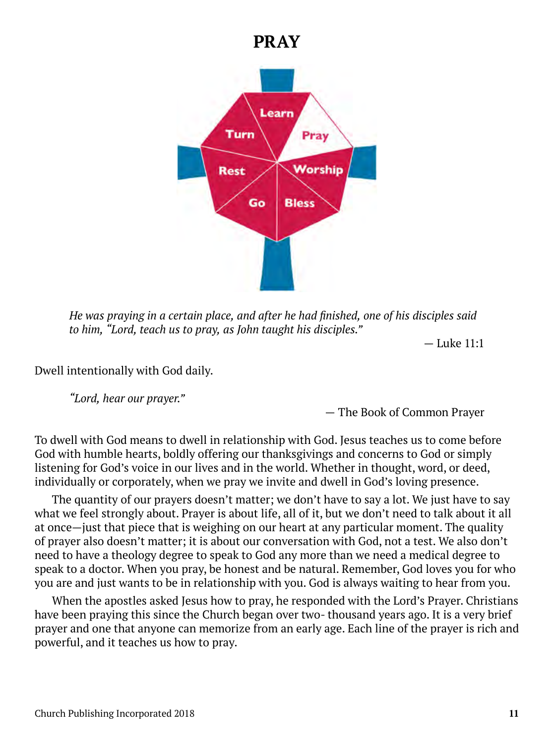# **PRAY**



*He was praying in a certain place, and after he had finished, one of his disciples said to him, "Lord, teach us to pray, as John taught his disciples."* 

— Luke 11:1

Dwell intentionally with God daily.

*"Lord, hear our prayer."* 

— The Book of Common Prayer

To dwell with God means to dwell in relationship with God. Jesus teaches us to come before God with humble hearts, boldly offering our thanksgivings and concerns to God or simply listening for God's voice in our lives and in the world. Whether in thought, word, or deed, individually or corporately, when we pray we invite and dwell in God's loving presence.

The quantity of our prayers doesn't matter; we don't have to say a lot. We just have to say what we feel strongly about. Prayer is about life, all of it, but we don't need to talk about it all at once—just that piece that is weighing on our heart at any particular moment. The quality of prayer also doesn't matter; it is about our conversation with God, not a test. We also don't need to have a theology degree to speak to God any more than we need a medical degree to speak to a doctor. When you pray, be honest and be natural. Remember, God loves you for who you are and just wants to be in relationship with you. God is always waiting to hear from you.

When the apostles asked Jesus how to pray, he responded with the Lord's Prayer. Christians have been praying this since the Church began over two- thousand years ago. It is a very brief prayer and one that anyone can memorize from an early age. Each line of the prayer is rich and powerful, and it teaches us how to pray.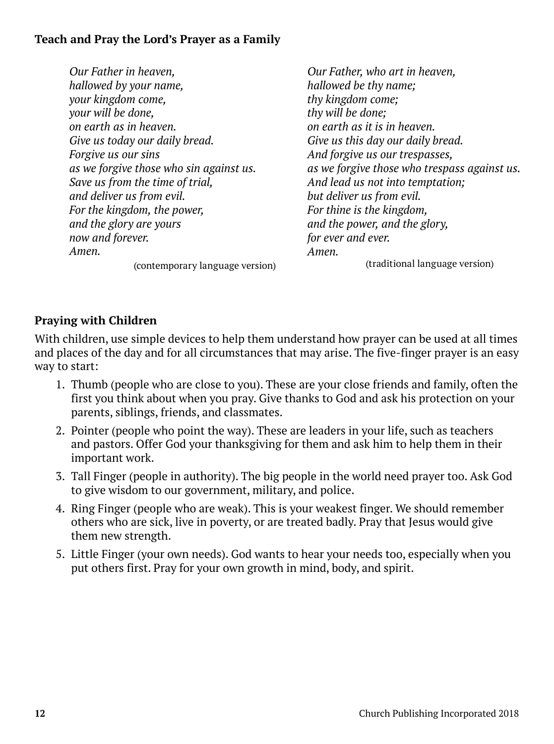# **Teach and Pray the Lord's Prayer as a Family**

*Our Father in heaven, hallowed by your name, your kingdom come, your will be done, on earth as in heaven. Give us today our daily bread. Forgive us our sins as we forgive those who sin against us. Save us from the time of trial, and deliver us from evil. For the kingdom, the power, and the glory are yours now and forever. Amen.*

(contemporary language version)

*Our Father, who art in heaven, hallowed be thy name; thy kingdom come; thy will be done; on earth as it is in heaven. Give us this day our daily bread. And forgive us our trespasses, as we forgive those who trespass against us. And lead us not into temptation; but deliver us from evil. For thine is the kingdom, and the power, and the glory, for ever and ever. Amen.* (traditional language version)

# **Praying with Children**

With children, use simple devices to help them understand how prayer can be used at all times and places of the day and for all circumstances that may arise. The five-finger prayer is an easy way to start:

- 1. Thumb (people who are close to you). These are your close friends and family, often the first you think about when you pray. Give thanks to God and ask his protection on your parents, siblings, friends, and classmates.
- 2. Pointer (people who point the way). These are leaders in your life, such as teachers and pastors. Offer God your thanksgiving for them and ask him to help them in their important work.
- 3. Tall Finger (people in authority). The big people in the world need prayer too. Ask God to give wisdom to our government, military, and police.
- 4. Ring Finger (people who are weak). This is your weakest finger. We should remember others who are sick, live in poverty, or are treated badly. Pray that Jesus would give them new strength.
- 5. Little Finger (your own needs). God wants to hear your needs too, especially when you put others first. Pray for your own growth in mind, body, and spirit.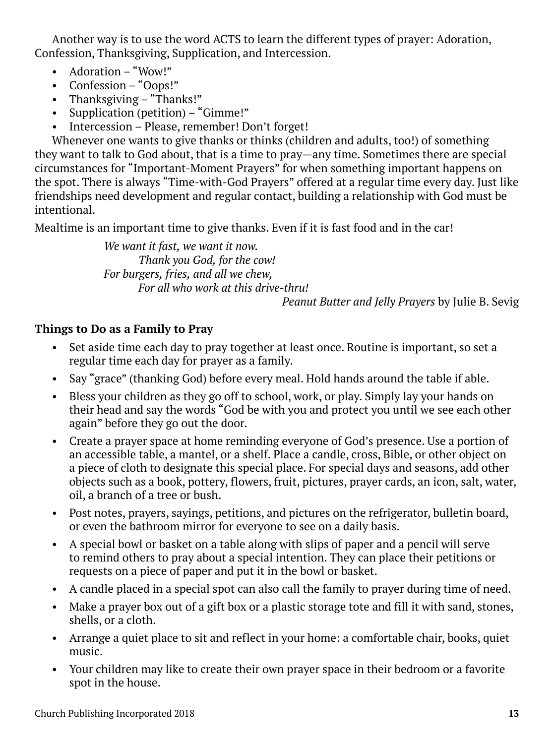Another way is to use the word ACTS to learn the different types of prayer: Adoration, Confession, Thanksgiving, Supplication, and Intercession.

- Adoration "Wow!"
- Confession "Oops!"
- Thanksgiving "Thanks!"
- Supplication (petition) "Gimme!"
- Intercession Please, remember! Don't forget!

Whenever one wants to give thanks or thinks (children and adults, too!) of something they want to talk to God about, that is a time to pray—any time. Sometimes there are special circumstances for "Important-Moment Prayers" for when something important happens on the spot. There is always "Time-with-God Prayers" offered at a regular time every day. Just like friendships need development and regular contact, building a relationship with God must be intentional.

Mealtime is an important time to give thanks. Even if it is fast food and in the car!

*We want it fast, we want it now. Thank you God, for the cow! For burgers, fries, and all we chew, For all who work at this drive-thru!* 

*Peanut Butter and Jelly Prayers* by Julie B. Sevig

### **Things to Do as a Family to Pray**

- Set aside time each day to pray together at least once. Routine is important, so set a regular time each day for prayer as a family.
- Say "grace" (thanking God) before every meal. Hold hands around the table if able.
- Bless your children as they go off to school, work, or play. Simply lay your hands on their head and say the words "God be with you and protect you until we see each other again" before they go out the door.
- Create a prayer space at home reminding everyone of God's presence. Use a portion of an accessible table, a mantel, or a shelf. Place a candle, cross, Bible, or other object on a piece of cloth to designate this special place. For special days and seasons, add other objects such as a book, pottery, flowers, fruit, pictures, prayer cards, an icon, salt, water, oil, a branch of a tree or bush.
- Post notes, prayers, sayings, petitions, and pictures on the refrigerator, bulletin board, or even the bathroom mirror for everyone to see on a daily basis.
- A special bowl or basket on a table along with slips of paper and a pencil will serve to remind others to pray about a special intention. They can place their petitions or requests on a piece of paper and put it in the bowl or basket.
- A candle placed in a special spot can also call the family to prayer during time of need.
- Make a prayer box out of a gift box or a plastic storage tote and fill it with sand, stones, shells, or a cloth.
- Arrange a quiet place to sit and reflect in your home: a comfortable chair, books, quiet music.
- Your children may like to create their own prayer space in their bedroom or a favorite spot in the house.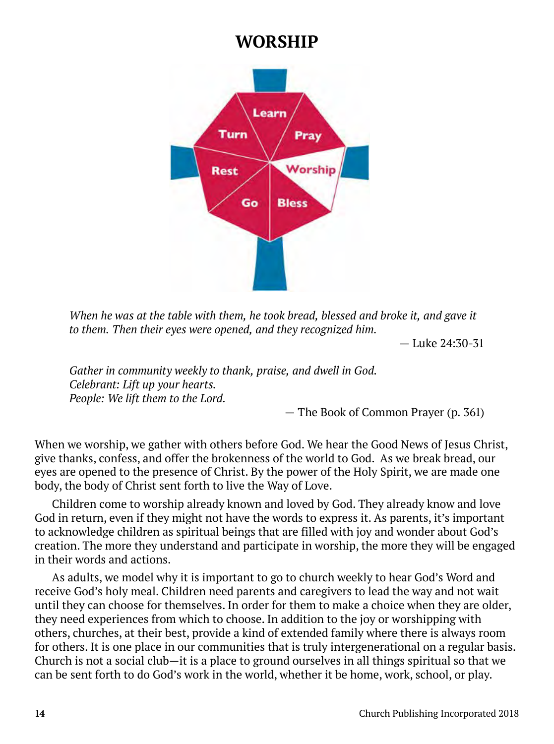# **WORSHIP**



*When he was at the table with them, he took bread, blessed and broke it, and gave it to them. Then their eyes were opened, and they recognized him.* 

— Luke 24:30-31

*Gather in community weekly to thank, praise, and dwell in God. Celebrant: Lift up your hearts. People: We lift them to the Lord.* 

— The Book of Common Prayer (p. 361)

When we worship, we gather with others before God. We hear the Good News of Jesus Christ, give thanks, confess, and offer the brokenness of the world to God. As we break bread, our eyes are opened to the presence of Christ. By the power of the Holy Spirit, we are made one body, the body of Christ sent forth to live the Way of Love.

Children come to worship already known and loved by God. They already know and love God in return, even if they might not have the words to express it. As parents, it's important to acknowledge children as spiritual beings that are filled with joy and wonder about God's creation. The more they understand and participate in worship, the more they will be engaged in their words and actions.

As adults, we model why it is important to go to church weekly to hear God's Word and receive God's holy meal. Children need parents and caregivers to lead the way and not wait until they can choose for themselves. In order for them to make a choice when they are older, they need experiences from which to choose. In addition to the joy or worshipping with others, churches, at their best, provide a kind of extended family where there is always room for others. It is one place in our communities that is truly intergenerational on a regular basis. Church is not a social club—it is a place to ground ourselves in all things spiritual so that we can be sent forth to do God's work in the world, whether it be home, work, school, or play.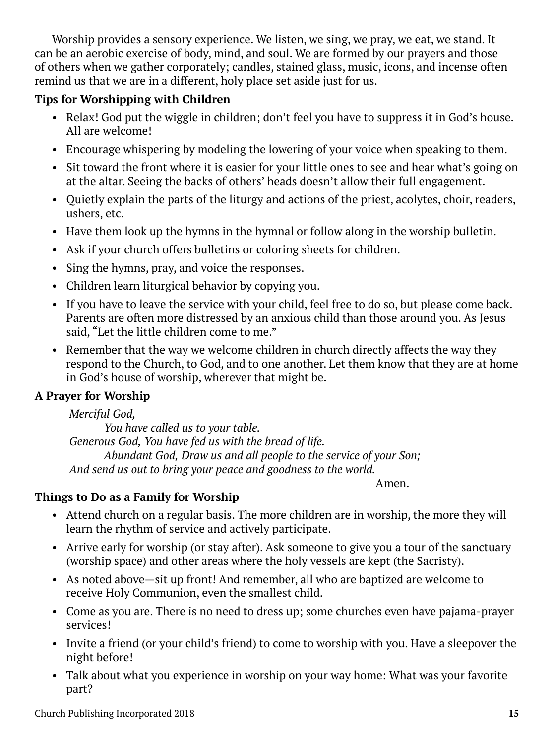Worship provides a sensory experience. We listen, we sing, we pray, we eat, we stand. It can be an aerobic exercise of body, mind, and soul. We are formed by our prayers and those of others when we gather corporately; candles, stained glass, music, icons, and incense often remind us that we are in a different, holy place set aside just for us.

# **Tips for Worshipping with Children**

- Relax! God put the wiggle in children; don't feel you have to suppress it in God's house. All are welcome!
- Encourage whispering by modeling the lowering of your voice when speaking to them.
- Sit toward the front where it is easier for your little ones to see and hear what's going on at the altar. Seeing the backs of others' heads doesn't allow their full engagement.
- Quietly explain the parts of the liturgy and actions of the priest, acolytes, choir, readers, ushers, etc.
- Have them look up the hymns in the hymnal or follow along in the worship bulletin.
- Ask if your church offers bulletins or coloring sheets for children.
- Sing the hymns, pray, and voice the responses.
- Children learn liturgical behavior by copying you.
- If you have to leave the service with your child, feel free to do so, but please come back. Parents are often more distressed by an anxious child than those around you. As Jesus said, "Let the little children come to me."
- Remember that the way we welcome children in church directly affects the way they respond to the Church, to God, and to one another. Let them know that they are at home in God's house of worship, wherever that might be.

# **A Prayer for Worship**

*Merciful God,*

*You have called us to your table. Generous God, You have fed us with the bread of life. Abundant God, Draw us and all people to the service of your Son; And send us out to bring your peace and goodness to the world.*

*Amen. Amen.* 

# **Things to Do as a Family for Worship**

- Attend church on a regular basis. The more children are in worship, the more they will learn the rhythm of service and actively participate.
- Arrive early for worship (or stay after). Ask someone to give you a tour of the sanctuary (worship space) and other areas where the holy vessels are kept (the Sacristy).
- As noted above—sit up front! And remember, all who are baptized are welcome to receive Holy Communion, even the smallest child.
- Come as you are. There is no need to dress up; some churches even have pajama-prayer services!
- Invite a friend (or your child's friend) to come to worship with you. Have a sleepover the night before!
- Talk about what you experience in worship on your way home: What was your favorite part?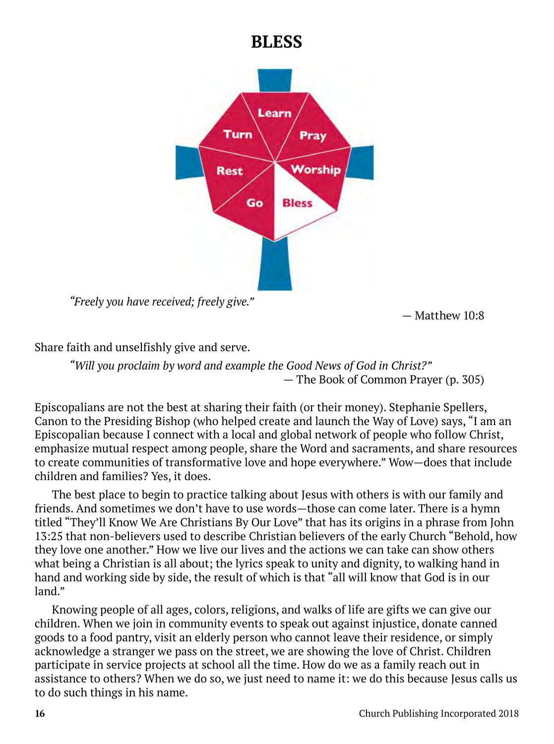# **BLESS**



*"Freely you have received; freely give."* 

 $-$  Matthew 10:8

Share faith and unselfishly give and serve.

*"Will you proclaim by word and example the Good News of God in Christ?"*  — The Book of Common Prayer (p. 305)

Episcopalians are not the best at sharing their faith (or their money). Stephanie Spellers, Canon to the Presiding Bishop (who helped create and launch the Way of Love) says, "I am an Episcopalian because I connect with a local and global network of people who follow Christ, emphasize mutual respect among people, share the Word and sacraments, and share resources to create communities of transformative love and hope everywhere." Wow—does that include children and families? Yes, it does.

The best place to begin to practice talking about Jesus with others is with our family and friends. And sometimes we don't have to use words—those can come later. There is a hymn titled "They'll Know We Are Christians By Our Love" that has its origins in a phrase from John 13:25 that non-believers used to describe Christian believers of the early Church "Behold, how they love one another." How we live our lives and the actions we can take can show others what being a Christian is all about; the lyrics speak to unity and dignity, to walking hand in hand and working side by side, the result of which is that "all will know that God is in our land."

Knowing people of all ages, colors, religions, and walks of life are gifts we can give our children. When we join in community events to speak out against injustice, donate canned goods to a food pantry, visit an elderly person who cannot leave their residence, or simply acknowledge a stranger we pass on the street, we are showing the love of Christ. Children participate in service projects at school all the time. How do we as a family reach out in assistance to others? When we do so, we just need to name it: we do this because Jesus calls us to do such things in his name.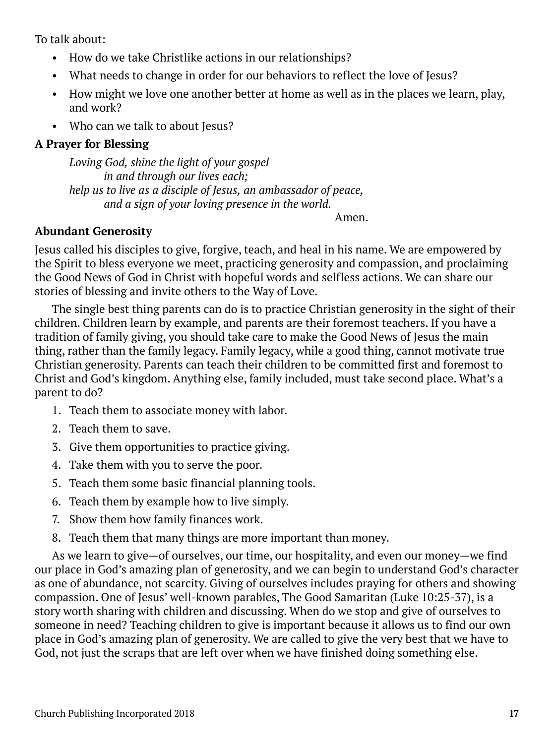To talk about:

- How do we take Christlike actions in our relationships?
- What needs to change in order for our behaviors to reflect the love of Jesus?
- How might we love one another better at home as well as in the places we learn, play, and work?
- Who can we talk to about Jesus?

# **A Prayer for Blessing**

*Loving God, shine the light of your gospel in and through our lives each; help us to live as a disciple of Jesus, an ambassador of peace, and a sign of your loving presence in the world.*

Amen.

# **Abundant Generosity**

Jesus called his disciples to give, forgive, teach, and heal in his name. We are empowered by the Spirit to bless everyone we meet, practicing generosity and compassion, and proclaiming the Good News of God in Christ with hopeful words and selfless actions. We can share our stories of blessing and invite others to the Way of Love.

The single best thing parents can do is to practice Christian generosity in the sight of their children. Children learn by example, and parents are their foremost teachers. If you have a tradition of family giving, you should take care to make the Good News of Jesus the main thing, rather than the family legacy. Family legacy, while a good thing, cannot motivate true Christian generosity. Parents can teach their children to be committed first and foremost to Christ and God's kingdom. Anything else, family included, must take second place. What's a parent to do?

- 1. Teach them to associate money with labor.
- 2. Teach them to save.
- 3. Give them opportunities to practice giving.
- 4. Take them with you to serve the poor.
- 5. Teach them some basic financial planning tools.
- 6. Teach them by example how to live simply.
- 7. Show them how family finances work.
- 8. Teach them that many things are more important than money.

As we learn to give—of ourselves, our time, our hospitality, and even our money—we find our place in God's amazing plan of generosity, and we can begin to understand God's character as one of abundance, not scarcity. Giving of ourselves includes praying for others and showing compassion. One of Jesus' well-known parables, The Good Samaritan (Luke 10:25-37), is a story worth sharing with children and discussing. When do we stop and give of ourselves to someone in need? Teaching children to give is important because it allows us to find our own place in God's amazing plan of generosity. We are called to give the very best that we have to God, not just the scraps that are left over when we have finished doing something else.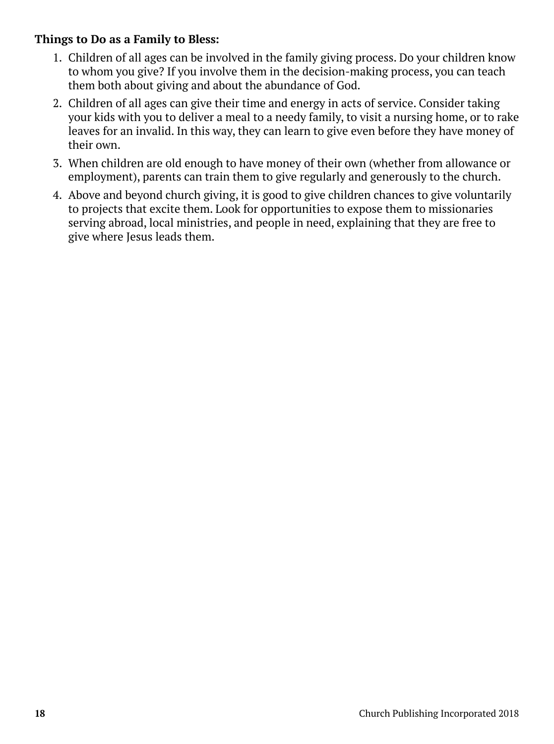# **Things to Do as a Family to Bless:**

- 1. Children of all ages can be involved in the family giving process. Do your children know to whom you give? If you involve them in the decision-making process, you can teach them both about giving and about the abundance of God.
- 2. Children of all ages can give their time and energy in acts of service. Consider taking your kids with you to deliver a meal to a needy family, to visit a nursing home, or to rake leaves for an invalid. In this way, they can learn to give even before they have money of their own.
- 3. When children are old enough to have money of their own (whether from allowance or employment), parents can train them to give regularly and generously to the church.
- 4. Above and beyond church giving, it is good to give children chances to give voluntarily to projects that excite them. Look for opportunities to expose them to missionaries serving abroad, local ministries, and people in need, explaining that they are free to give where Jesus leads them.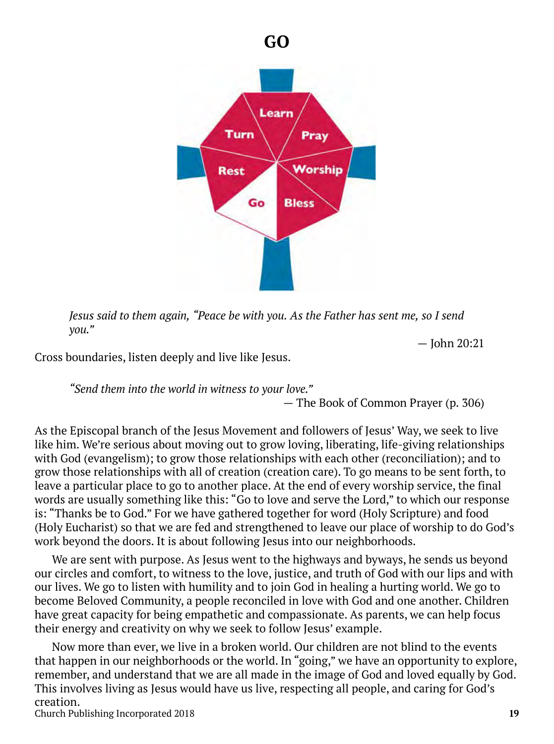

*Jesus said to them again, "Peace be with you. As the Father has sent me, so I send you."* 

— John 20:21

Cross boundaries, listen deeply and live like Jesus.

*"Send them into the world in witness to your love."* 

— The Book of Common Prayer (p. 306)

As the Episcopal branch of the Jesus Movement and followers of Jesus' Way, we seek to live like him. We're serious about moving out to grow loving, liberating, life-giving relationships with God (evangelism); to grow those relationships with each other (reconciliation); and to grow those relationships with all of creation (creation care). To go means to be sent forth, to leave a particular place to go to another place. At the end of every worship service, the final words are usually something like this: "Go to love and serve the Lord," to which our response is: "Thanks be to God." For we have gathered together for word (Holy Scripture) and food (Holy Eucharist) so that we are fed and strengthened to leave our place of worship to do God's work beyond the doors. It is about following Jesus into our neighborhoods.

We are sent with purpose. As Jesus went to the highways and byways, he sends us beyond our circles and comfort, to witness to the love, justice, and truth of God with our lips and with our lives. We go to listen with humility and to join God in healing a hurting world. We go to become Beloved Community, a people reconciled in love with God and one another. Children have great capacity for being empathetic and compassionate. As parents, we can help focus their energy and creativity on why we seek to follow Jesus' example.

Church Publishing Incorporated 2018 **19** Now more than ever, we live in a broken world. Our children are not blind to the events that happen in our neighborhoods or the world. In "going," we have an opportunity to explore, remember, and understand that we are all made in the image of God and loved equally by God. This involves living as Jesus would have us live, respecting all people, and caring for God's creation.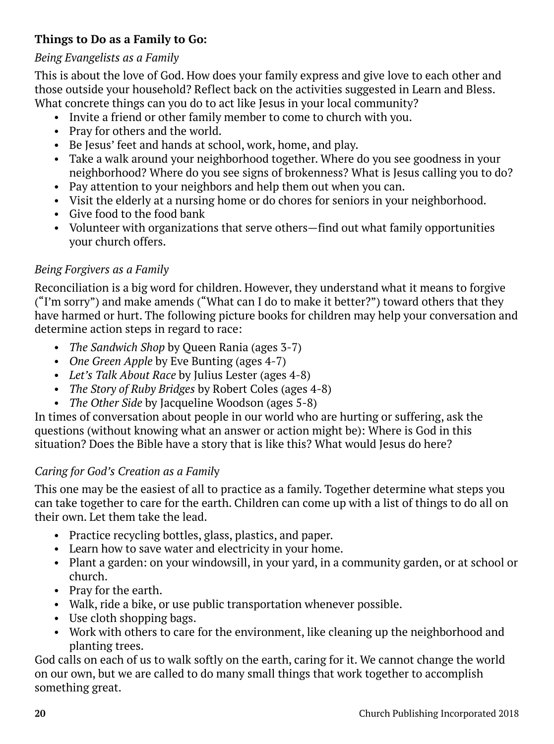# **Things to Do as a Family to Go:**

# *Being Evangelists as a Family*

This is about the love of God. How does your family express and give love to each other and those outside your household? Reflect back on the activities suggested in Learn and Bless. What concrete things can you do to act like Jesus in your local community?

- Invite a friend or other family member to come to church with you.
- Pray for others and the world.
- Be Jesus' feet and hands at school, work, home, and play.
- Take a walk around your neighborhood together. Where do you see goodness in your neighborhood? Where do you see signs of brokenness? What is Jesus calling you to do?
- Pay attention to your neighbors and help them out when you can.
- Visit the elderly at a nursing home or do chores for seniors in your neighborhood.
- Give food to the food bank
- Volunteer with organizations that serve others—find out what family opportunities your church offers.

# *Being Forgivers as a Family*

Reconciliation is a big word for children. However, they understand what it means to forgive ("I'm sorry") and make amends ("What can I do to make it better?") toward others that they have harmed or hurt. The following picture books for children may help your conversation and determine action steps in regard to race:

- *The Sandwich Shop* by Queen Rania (ages 3-7)
- *One Green Apple* by Eve Bunting (ages 4-7)
- *Let's Talk About Race* by Julius Lester (ages 4-8)
- *The Story of Ruby Bridges* by Robert Coles (ages 4-8)
- *The Other Side* by Jacqueline Woodson (ages 5-8)

In times of conversation about people in our world who are hurting or suffering, ask the questions (without knowing what an answer or action might be): Where is God in this situation? Does the Bible have a story that is like this? What would Jesus do here?

# *Caring for God's Creation as a Famil*y

This one may be the easiest of all to practice as a family. Together determine what steps you can take together to care for the earth. Children can come up with a list of things to do all on their own. Let them take the lead.

- Practice recycling bottles, glass, plastics, and paper.
- Learn how to save water and electricity in your home.
- Plant a garden: on your windowsill, in your yard, in a community garden, or at school or church.
- Pray for the earth.
- Walk, ride a bike, or use public transportation whenever possible.
- Use cloth shopping bags.
- Work with others to care for the environment, like cleaning up the neighborhood and planting trees.

God calls on each of us to walk softly on the earth, caring for it. We cannot change the world on our own, but we are called to do many small things that work together to accomplish something great.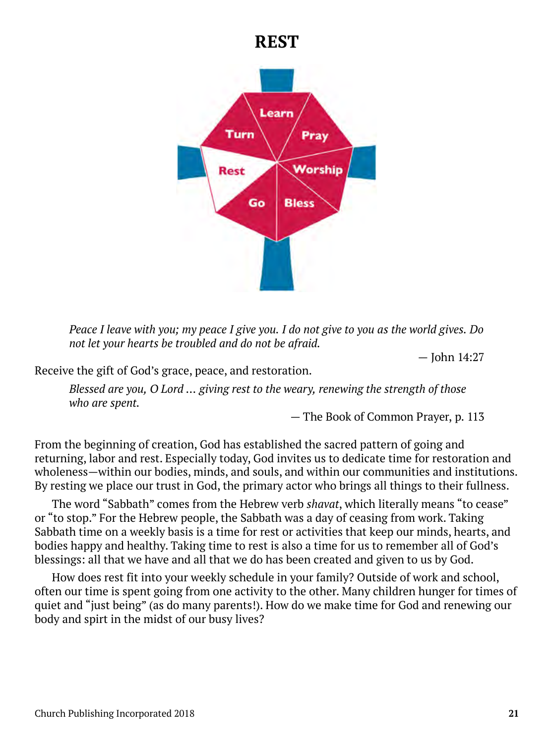# **REST**



*Peace I leave with you; my peace I give you. I do not give to you as the world gives. Do not let your hearts be troubled and do not be afraid.* 

— John 14:27

Receive the gift of God's grace, peace, and restoration.

*Blessed are you, O Lord … giving rest to the weary, renewing the strength of those who are spent.* 

— The Book of Common Prayer, p. 113

From the beginning of creation, God has established the sacred pattern of going and returning, labor and rest. Especially today, God invites us to dedicate time for restoration and wholeness—within our bodies, minds, and souls, and within our communities and institutions. By resting we place our trust in God, the primary actor who brings all things to their fullness.

The word "Sabbath" comes from the Hebrew verb *shavat*, which literally means "to cease" or "to stop." For the Hebrew people, the Sabbath was a day of ceasing from work. Taking Sabbath time on a weekly basis is a time for rest or activities that keep our minds, hearts, and bodies happy and healthy. Taking time to rest is also a time for us to remember all of God's blessings: all that we have and all that we do has been created and given to us by God.

How does rest fit into your weekly schedule in your family? Outside of work and school, often our time is spent going from one activity to the other. Many children hunger for times of quiet and "just being" (as do many parents!). How do we make time for God and renewing our body and spirt in the midst of our busy lives?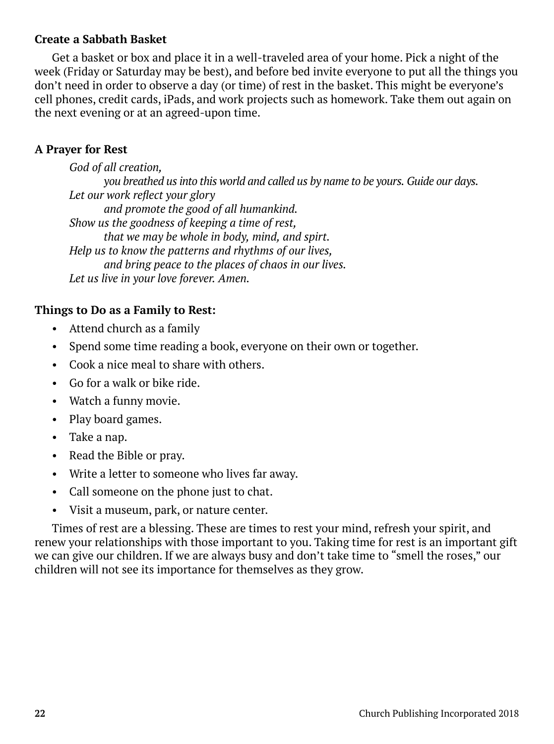### **Create a Sabbath Basket**

Get a basket or box and place it in a well-traveled area of your home. Pick a night of the week (Friday or Saturday may be best), and before bed invite everyone to put all the things you don't need in order to observe a day (or time) of rest in the basket. This might be everyone's cell phones, credit cards, iPads, and work projects such as homework. Take them out again on the next evening or at an agreed-upon time.

### **A Prayer for Rest**

*God of all creation, you breathed us into this world and called us by name to be yours. Guide our days. Let our work reflect your glory and promote the good of all humankind. Show us the goodness of keeping a time of rest, that we may be whole in body, mind, and spirt. Help us to know the patterns and rhythms of our lives, and bring peace to the places of chaos in our lives. Let us live in your love forever. Amen.*

# **Things to Do as a Family to Rest:**

- Attend church as a family
- Spend some time reading a book, everyone on their own or together.
- Cook a nice meal to share with others.
- Go for a walk or bike ride.
- Watch a funny movie.
- Play board games.
- Take a nap.
- Read the Bible or pray.
- Write a letter to someone who lives far away.
- Call someone on the phone just to chat.
- Visit a museum, park, or nature center.

Times of rest are a blessing. These are times to rest your mind, refresh your spirit, and renew your relationships with those important to you. Taking time for rest is an important gift we can give our children. If we are always busy and don't take time to "smell the roses," our children will not see its importance for themselves as they grow.